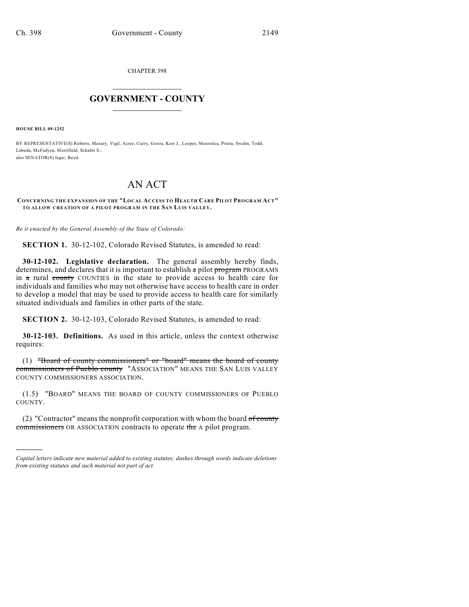CHAPTER 398

## $\overline{\phantom{a}}$  . The set of the set of the set of the set of the set of the set of the set of the set of the set of the set of the set of the set of the set of the set of the set of the set of the set of the set of the set o **GOVERNMENT - COUNTY**  $\_$

**HOUSE BILL 09-1252**

)))))

BY REPRESENTATIVE(S) Roberts, Massey, Vigil, Acree, Curry, Gerou, Kerr J., Looper, Marostica, Priola, Swalm, Todd, Labuda, McFadyen, Merrifield, Schafer S.; also SENATOR(S) Isgar, Boyd.

## AN ACT

## **CONCERNING THE EXPANSION OF THE "LOCAL ACCESS TO HEALTH CARE PILOT PROGRAM ACT" TO ALLOW CREATION OF A PILOT PROGRAM IN THE SAN LUIS VALLEY.**

*Be it enacted by the General Assembly of the State of Colorado:*

**SECTION 1.** 30-12-102, Colorado Revised Statutes, is amended to read:

**30-12-102. Legislative declaration.** The general assembly hereby finds, determines, and declares that it is important to establish a pilot program PROGRAMS in a rural county COUNTIES in the state to provide access to health care for individuals and families who may not otherwise have access to health care in order to develop a model that may be used to provide access to health care for similarly situated individuals and families in other parts of the state.

**SECTION 2.** 30-12-103, Colorado Revised Statutes, is amended to read:

**30-12-103. Definitions.** As used in this article, unless the context otherwise requires:

(1) "Board of county commissioners" or "board" means the board of county commissioners of Pueblo county "ASSOCIATION" MEANS THE SAN LUIS VALLEY COUNTY COMMISSIONERS ASSOCIATION.

(1.5) "BOARD" MEANS THE BOARD OF COUNTY COMMISSIONERS OF PUEBLO COUNTY.

(2) "Contractor" means the nonprofit corporation with whom the board  $of$  county commissioners OR ASSOCIATION contracts to operate the A pilot program.

*Capital letters indicate new material added to existing statutes; dashes through words indicate deletions from existing statutes and such material not part of act.*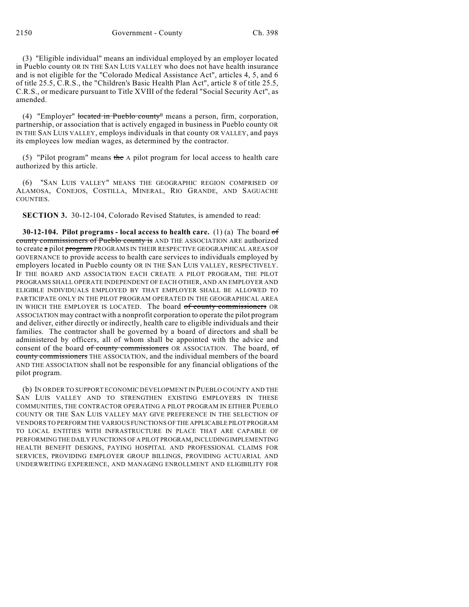(3) "Eligible individual" means an individual employed by an employer located in Pueblo county OR IN THE SAN LUIS VALLEY who does not have health insurance and is not eligible for the "Colorado Medical Assistance Act", articles 4, 5, and 6 of title 25.5, C.R.S., the "Children's Basic Health Plan Act", article 8 of title 25.5, C.R.S., or medicare pursuant to Title XVIII of the federal "Social Security Act", as amended.

(4) "Employer" located in Pueblo county" means a person, firm, corporation, partnership, or association that is actively engaged in business in Pueblo county OR IN THE SAN LUIS VALLEY, employs individuals in that county OR VALLEY, and pays its employees low median wages, as determined by the contractor.

(5) "Pilot program" means the A pilot program for local access to health care authorized by this article.

(6) "SAN LUIS VALLEY" MEANS THE GEOGRAPHIC REGION COMPRISED OF ALAMOSA, CONEJOS, COSTILLA, MINERAL, RIO GRANDE, AND SAGUACHE COUNTIES.

**SECTION 3.** 30-12-104, Colorado Revised Statutes, is amended to read:

**30-12-104. Pilot programs - local access to health care.** (1) (a) The board of county commissioners of Pueblo county is AND THE ASSOCIATION ARE authorized to create a pilot program PROGRAMS IN THEIR RESPECTIVE GEOGRAPHICAL AREAS OF GOVERNANCE to provide access to health care services to individuals employed by employers located in Pueblo county OR IN THE SAN LUIS VALLEY, RESPECTIVELY. IF THE BOARD AND ASSOCIATION EACH CREATE A PILOT PROGRAM, THE PILOT PROGRAMS SHALL OPERATE INDEPENDENT OF EACH OTHER, AND AN EMPLOYER AND ELIGIBLE INDIVIDUALS EMPLOYED BY THAT EMPLOYER SHALL BE ALLOWED TO PARTICIPATE ONLY IN THE PILOT PROGRAM OPERATED IN THE GEOGRAPHICAL AREA IN WHICH THE EMPLOYER IS LOCATED. The board of county commissioners OR ASSOCIATION may contract with a nonprofit corporation to operate the pilot program and deliver, either directly or indirectly, health care to eligible individuals and their families. The contractor shall be governed by a board of directors and shall be administered by officers, all of whom shall be appointed with the advice and consent of the board of county commissioners OR ASSOCIATION. The board, of county commissioners THE ASSOCIATION, and the individual members of the board AND THE ASSOCIATION shall not be responsible for any financial obligations of the pilot program.

(b) IN ORDER TO SUPPORT ECONOMIC DEVELOPMENT IN PUEBLO COUNTY AND THE SAN LUIS VALLEY AND TO STRENGTHEN EXISTING EMPLOYERS IN THESE COMMUNITIES, THE CONTRACTOR OPERATING A PILOT PROGRAM IN EITHER PUEBLO COUNTY OR THE SAN LUIS VALLEY MAY GIVE PREFERENCE IN THE SELECTION OF VENDORS TO PERFORM THE VARIOUS FUNCTIONS OF THE APPLICABLE PILOT PROGRAM TO LOCAL ENTITIES WITH INFRASTRUCTURE IN PLACE THAT ARE CAPABLE OF PERFORMING THE DAILY FUNCTIONS OF A PILOT PROGRAM, INCLUDING IMPLEMENTING HEALTH BENEFIT DESIGNS, PAYING HOSPITAL AND PROFESSIONAL CLAIMS FOR SERVICES, PROVIDING EMPLOYER GROUP BILLINGS, PROVIDING ACTUARIAL AND UNDERWRITING EXPERIENCE, AND MANAGING ENROLLMENT AND ELIGIBILITY FOR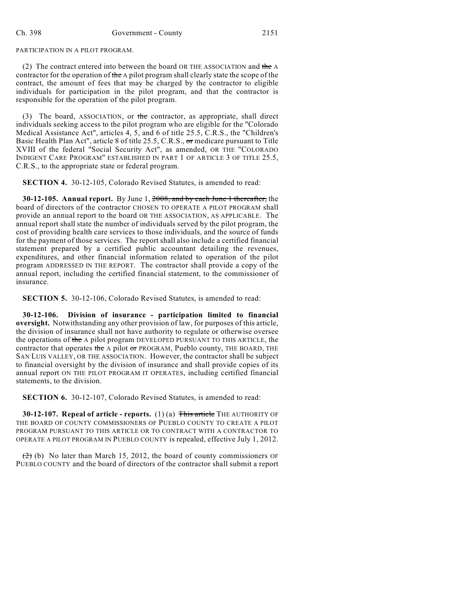PARTICIPATION IN A PILOT PROGRAM.

(2) The contract entered into between the board OR THE ASSOCIATION and the A contractor for the operation of the A pilot program shall clearly state the scope of the contract, the amount of fees that may be charged by the contractor to eligible individuals for participation in the pilot program, and that the contractor is responsible for the operation of the pilot program.

(3) The board, ASSOCIATION, or the contractor, as appropriate, shall direct individuals seeking access to the pilot program who are eligible for the "Colorado Medical Assistance Act", articles 4, 5, and 6 of title 25.5, C.R.S., the "Children's Basic Health Plan Act", article 8 of title 25.5, C.R.S., or medicare pursuant to Title XVIII of the federal "Social Security Act", as amended, OR THE "COLORADO INDIGENT CARE PROGRAM" ESTABLISHED IN PART 1 OF ARTICLE 3 OF TITLE 25.5, C.R.S., to the appropriate state or federal program.

**SECTION 4.** 30-12-105, Colorado Revised Statutes, is amended to read:

**30-12-105. Annual report.** By June 1, 2008, and by each June 1 thereafter, the board of directors of the contractor CHOSEN TO OPERATE A PILOT PROGRAM shall provide an annual report to the board OR THE ASSOCIATION, AS APPLICABLE. The annual report shall state the number of individuals served by the pilot program, the cost of providing health care services to those individuals, and the source of funds for the payment of those services. The report shall also include a certified financial statement prepared by a certified public accountant detailing the revenues, expenditures, and other financial information related to operation of the pilot program ADDRESSED IN THE REPORT. The contractor shall provide a copy of the annual report, including the certified financial statement, to the commissioner of insurance.

**SECTION 5.** 30-12-106, Colorado Revised Statutes, is amended to read:

**30-12-106. Division of insurance - participation limited to financial oversight.** Notwithstanding any other provision of law, for purposes of this article, the division of insurance shall not have authority to regulate or otherwise oversee the operations of the A pilot program DEVELOPED PURSUANT TO THIS ARTICLE, the contractor that operates the A pilot or PROGRAM, Pueblo county, THE BOARD, THE SAN LUIS VALLEY, OR THE ASSOCIATION. However, the contractor shall be subject to financial oversight by the division of insurance and shall provide copies of its annual report ON THE PILOT PROGRAM IT OPERATES, including certified financial statements, to the division.

**SECTION 6.** 30-12-107, Colorado Revised Statutes, is amended to read:

**30-12-107. Repeal of article - reports.** (1) (a) This article THE AUTHORITY OF THE BOARD OF COUNTY COMMISSIONERS OF PUEBLO COUNTY TO CREATE A PILOT PROGRAM PURSUANT TO THIS ARTICLE OR TO CONTRACT WITH A CONTRACTOR TO OPERATE A PILOT PROGRAM IN PUEBLO COUNTY is repealed, effective July 1, 2012.

 $(2)$  (b) No later than March 15, 2012, the board of county commissioners OF PUEBLO COUNTY and the board of directors of the contractor shall submit a report